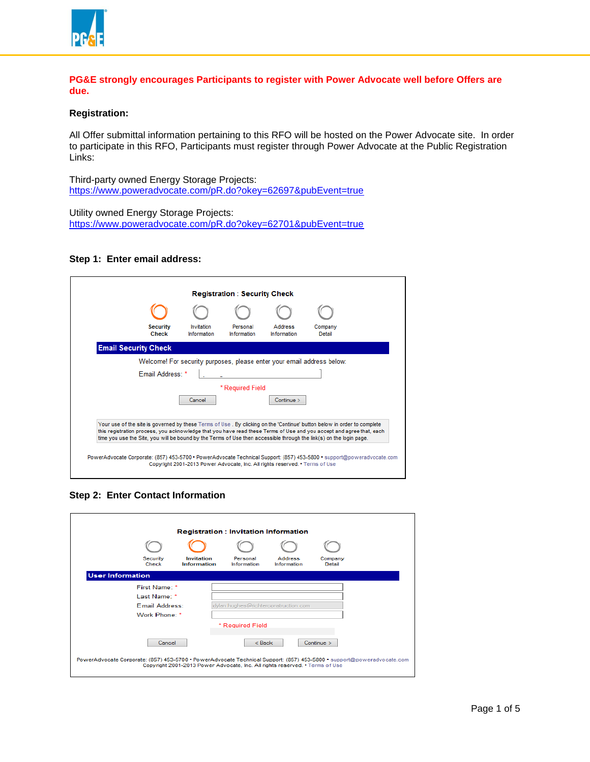

## **PG&E strongly encourages Participants to register with Power Advocate well before Offers are due.**

# **Registration:**

All Offer submittal information pertaining to this RFO will be hosted on the Power Advocate site. In order to participate in this RFO, Participants must register through Power Advocate at the Public Registration Links:

Third-party owned Energy Storage Projects: <https://www.poweradvocate.com/pR.do?okey=62697&pubEvent=true>

Utility owned Energy Storage Projects: <https://www.poweradvocate.com/pR.do?okey=62701&pubEvent=true>

#### **Step 1: Enter email address:**

| <b>Security</b><br><b>Check</b> | Invitation<br><b>Information</b> | Personal<br><b>Information</b> | <b>Address</b><br><b>Information</b> | Company<br>Detail                                                                                                                                                                                                                                                                                                                                                      |
|---------------------------------|----------------------------------|--------------------------------|--------------------------------------|------------------------------------------------------------------------------------------------------------------------------------------------------------------------------------------------------------------------------------------------------------------------------------------------------------------------------------------------------------------------|
| <b>Email Security Check</b>     |                                  |                                |                                      |                                                                                                                                                                                                                                                                                                                                                                        |
|                                 |                                  |                                |                                      | Welcome! For security purposes, please enter your email address below:                                                                                                                                                                                                                                                                                                 |
| Email Address: *                |                                  |                                |                                      |                                                                                                                                                                                                                                                                                                                                                                        |
|                                 |                                  | * Required Field               |                                      |                                                                                                                                                                                                                                                                                                                                                                        |
|                                 | Cancel                           |                                | Controller >                         |                                                                                                                                                                                                                                                                                                                                                                        |
|                                 |                                  |                                |                                      | Your use of the site is governed by these Terms of Use. By clicking on the 'Continue' button below in order to complete<br>this registration process, you acknowledge that you have read these Terms of Use and you accept and agree that, each<br>time you use the Site, you will be bound by the Terms of Use then accessible through the link(s) on the login page. |

**Step 2: Enter Contact Information**

| <b>Registration: Invitation Information</b> |                       |                                                                              |                                |                                      |                   |                                                                                                                       |  |  |
|---------------------------------------------|-----------------------|------------------------------------------------------------------------------|--------------------------------|--------------------------------------|-------------------|-----------------------------------------------------------------------------------------------------------------------|--|--|
|                                             |                       |                                                                              |                                |                                      |                   |                                                                                                                       |  |  |
|                                             | Security<br>Check     | Invitation<br><b>Information</b>                                             | Personal<br><b>Information</b> | <b>Address</b><br><b>Information</b> | Company<br>Detail |                                                                                                                       |  |  |
| <b>User Information</b>                     |                       |                                                                              |                                |                                      |                   |                                                                                                                       |  |  |
|                                             | First Name: *         |                                                                              |                                |                                      |                   |                                                                                                                       |  |  |
|                                             | Last Name: *          |                                                                              |                                |                                      |                   |                                                                                                                       |  |  |
|                                             | <b>Email Address:</b> |                                                                              |                                | dylan.hughes@richterconstruction.com |                   |                                                                                                                       |  |  |
|                                             | Work Phone: *         |                                                                              |                                |                                      |                   |                                                                                                                       |  |  |
|                                             |                       |                                                                              | * Required Field               |                                      |                   |                                                                                                                       |  |  |
|                                             | Cancel                |                                                                              | $<$ Back                       |                                      | Continue >        |                                                                                                                       |  |  |
|                                             |                       | Copyright 2001-2013 Power Advocate, Inc. All rights reserved. • Terms of Use |                                |                                      |                   | PowerAdvocate Corporate: (857) 453-5700 • PowerAdvocate Technical Support: (857) 453-5800 • support@poweradvocate.com |  |  |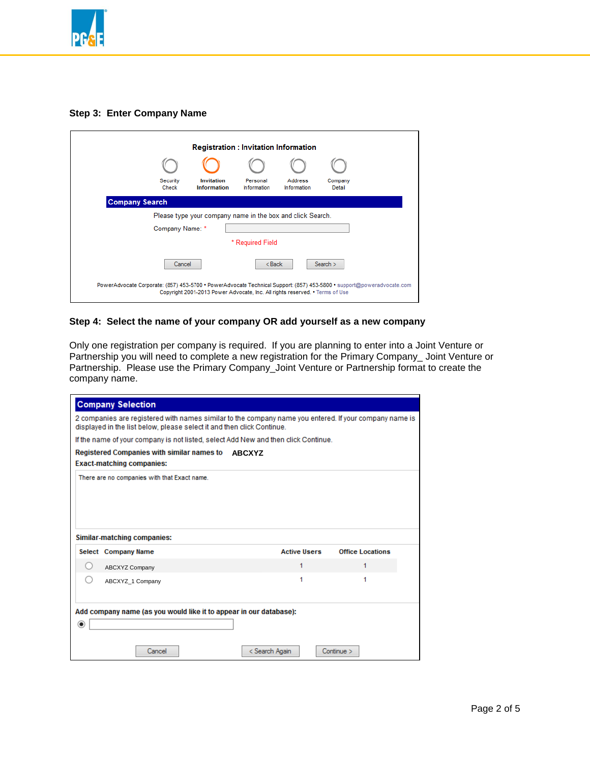

## **Step 3: Enter Company Name**

|                                                                                                                                                                                                       |                                                            | <b>Registration: Invitation Information</b> |                                |                               |                   |  |  |  |  |
|-------------------------------------------------------------------------------------------------------------------------------------------------------------------------------------------------------|------------------------------------------------------------|---------------------------------------------|--------------------------------|-------------------------------|-------------------|--|--|--|--|
|                                                                                                                                                                                                       |                                                            |                                             |                                |                               |                   |  |  |  |  |
|                                                                                                                                                                                                       | Security<br>Check                                          | Invitation<br><b>Information</b>            | Personal<br><b>Information</b> | Address<br><b>Information</b> | Company<br>Detail |  |  |  |  |
| <b>Company Search</b>                                                                                                                                                                                 |                                                            |                                             |                                |                               |                   |  |  |  |  |
|                                                                                                                                                                                                       | Please type your company name in the box and click Search. |                                             |                                |                               |                   |  |  |  |  |
|                                                                                                                                                                                                       | Company Name: *                                            |                                             |                                |                               |                   |  |  |  |  |
|                                                                                                                                                                                                       | * Required Field                                           |                                             |                                |                               |                   |  |  |  |  |
| Cancel<br>$<$ Back<br>Search $>$                                                                                                                                                                      |                                                            |                                             |                                |                               |                   |  |  |  |  |
| PowerAdvocate Corporate: (857) 453-5700 · PowerAdvocate Technical Support: (857) 453-5800 · support@poweradvocate.com<br>Copyright 2001-2013 Power Advocate, Inc. All rights reserved. • Terms of Use |                                                            |                                             |                                |                               |                   |  |  |  |  |

# **Step 4: Select the name of your company OR add yourself as a new company**

Only one registration per company is required. If you are planning to enter into a Joint Venture or Partnership you will need to complete a new registration for the Primary Company\_ Joint Venture or Partnership. Please use the Primary Company\_Joint Venture or Partnership format to create the company name.

|                  | <b>Company Selection</b>                                                    |                                                                                                        |                         |  |
|------------------|-----------------------------------------------------------------------------|--------------------------------------------------------------------------------------------------------|-------------------------|--|
|                  | displayed in the list below, please select it and then click Continue.      | 2 companies are registered with names similar to the company name you entered. If your company name is |                         |  |
|                  |                                                                             | If the name of your company is not listed, select Add New and then click Continue.                     |                         |  |
|                  | <b>Registered Companies with similar names to</b>                           | <b>ABCXYZ</b>                                                                                          |                         |  |
|                  | <b>Exact-matching companies:</b>                                            |                                                                                                        |                         |  |
|                  | There are no companies with that Exact name.<br>Similar-matching companies: |                                                                                                        |                         |  |
|                  | Select Company Name                                                         | <b>Active Users</b>                                                                                    | <b>Office Locations</b> |  |
| $\left( \right)$ | <b>ABCXYZ Company</b>                                                       | 1                                                                                                      | 1                       |  |
| ∩                | ABCXYZ 1 Company                                                            | 1                                                                                                      | 1                       |  |
| $^{\circ}$       | Add company name (as you would like it to appear in our database):          |                                                                                                        |                         |  |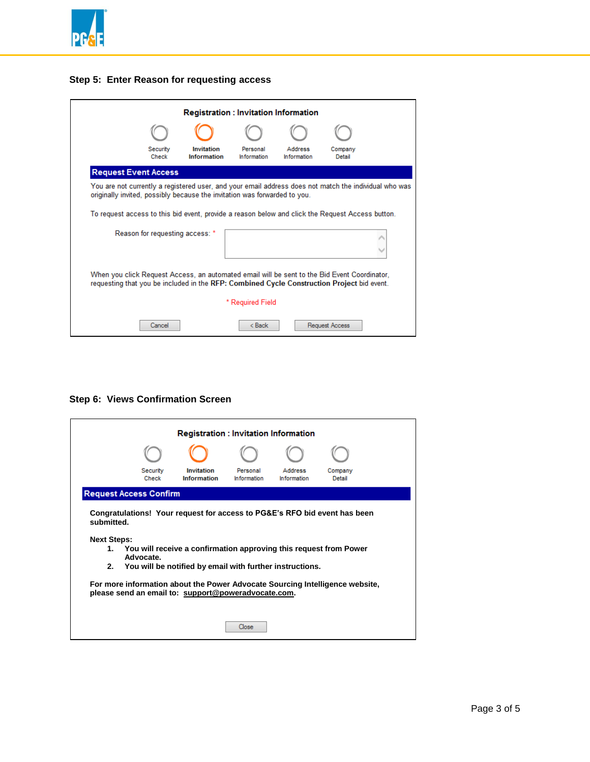



| <b>Registration: Invitation Information</b> |                                 |                                                                                                                                                                                            |                                |                               |                   |  |  |
|---------------------------------------------|---------------------------------|--------------------------------------------------------------------------------------------------------------------------------------------------------------------------------------------|--------------------------------|-------------------------------|-------------------|--|--|
|                                             |                                 |                                                                                                                                                                                            |                                |                               |                   |  |  |
|                                             | Security<br>Check               | Invitation<br><b>Information</b>                                                                                                                                                           | Personal<br><b>Information</b> | Address<br><b>Information</b> | Company<br>Detail |  |  |
| <b>Request Event Access</b>                 |                                 |                                                                                                                                                                                            |                                |                               |                   |  |  |
|                                             |                                 | You are not currently a registered user, and your email address does not match the individual who was<br>originally invited, possibly because the invitation was forwarded to you.         |                                |                               |                   |  |  |
|                                             |                                 | To request access to this bid event, provide a reason below and click the Request Access button.                                                                                           |                                |                               |                   |  |  |
|                                             | Reason for requesting access: * |                                                                                                                                                                                            |                                |                               |                   |  |  |
|                                             |                                 |                                                                                                                                                                                            |                                |                               |                   |  |  |
|                                             |                                 | When you click Request Access, an automated email will be sent to the Bid Event Coordinator,<br>requesting that you be included in the RFP: Combined Cycle Construction Project bid event. |                                |                               |                   |  |  |
|                                             |                                 |                                                                                                                                                                                            | * Required Field               |                               |                   |  |  |
|                                             | Cancel                          |                                                                                                                                                                                            | < Back                         |                               | Request Access    |  |  |

# **Step 6: Views Confirmation Screen**

|         | <b>Registration : Invitation Information</b>                                                                                                                                                                                                                  |                           |                                |                               |                   |  |  |  |
|---------|---------------------------------------------------------------------------------------------------------------------------------------------------------------------------------------------------------------------------------------------------------------|---------------------------|--------------------------------|-------------------------------|-------------------|--|--|--|
|         |                                                                                                                                                                                                                                                               |                           |                                |                               |                   |  |  |  |
|         | Security<br>Check                                                                                                                                                                                                                                             | Invitation<br>Information | Personal<br><b>Information</b> | Address<br><b>Information</b> | Company<br>Detail |  |  |  |
|         | <b>Request Access Confirm</b>                                                                                                                                                                                                                                 |                           |                                |                               |                   |  |  |  |
| $2_{-}$ | Congratulations! Your request for access to PG&E's RFO bid event has been<br>submitted<br><b>Next Steps:</b><br>1. You will receive a confirmation approving this request from Power<br>Advocate.<br>You will be notified by email with further instructions. |                           |                                |                               |                   |  |  |  |
|         | For more information about the Power Advocate Sourcing Intelligence website,<br>please send an email to: support@poweradvocate.com.                                                                                                                           |                           |                                |                               |                   |  |  |  |
|         | Close                                                                                                                                                                                                                                                         |                           |                                |                               |                   |  |  |  |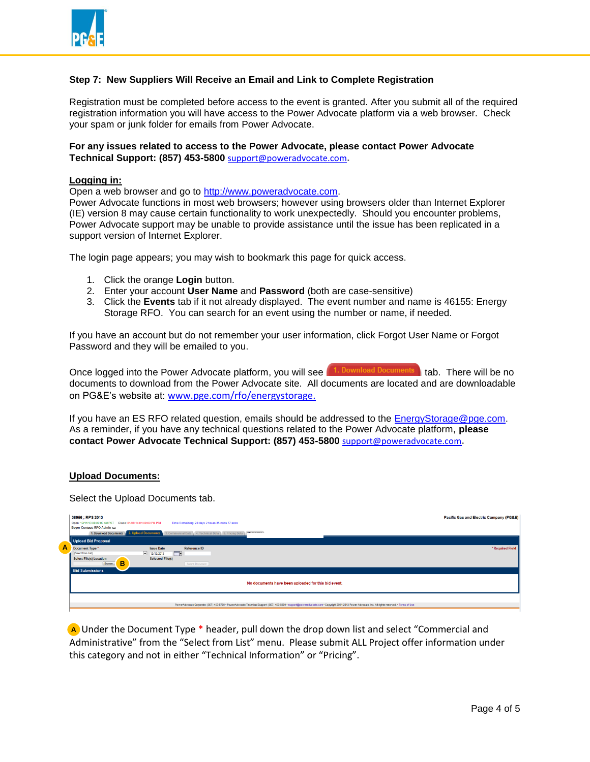

# **Step 7: New Suppliers Will Receive an Email and Link to Complete Registration**

Registration must be completed before access to the event is granted. After you submit all of the required registration information you will have access to the Power Advocate platform via a web browser. Check your spam or junk folder for emails from Power Advocate.

## **For any issues related to access to the Power Advocate, please contact Power Advocate Technical Support: (857) 453-5800** [support@poweradvocate.com](mailto:support@poweradvocate.com)**.**

#### **Logging in:**

Open a web browser and go to [http://www.poweradvocate.com.](http://www.poweradvocate.com/)

Power Advocate functions in most web browsers; however using browsers older than Internet Explorer (IE) version 8 may cause certain functionality to work unexpectedly. Should you encounter problems, Power Advocate support may be unable to provide assistance until the issue has been replicated in a support version of Internet Explorer.

The login page appears; you may wish to bookmark this page for quick access.

- 1. Click the orange **Login** button.
- 2. Enter your account **User Name** and **Password** (both are case-sensitive)
- 3. Click the **Events** tab if it not already displayed. The event number and name is 46155: Energy Storage RFO. You can search for an event using the number or name, if needed.

If you have an account but do not remember your user information, click Forgot User Name or Forgot Password and they will be emailed to you.

Once logged into the Power Advocate platform, you will see  $\left[1$ . Download Documents tab. There will be no documents to download from the Power Advocate site. All documents are located and are downloadable on PG&E's website at: www.pge.com/rfo/energystorage.

If you have an ES RFO related question, emails should be addressed to the EnergyStorage@pge.com. As a reminder, if you have any technical questions related to the Power Advocate platform, **please contact Power Advocate Technical Support: (857) 453-5800** [support@poweradvocate.com](mailto:support@poweradvocate.com)**.**

#### **Upload Documents:**

Select the Upload Documents tab.

|   | 38956 : RPS 2013<br><b>Pacific Gas and Electric Company (PG&amp;E)</b><br>Open: 12/11/13 08:00:00 AM PST Close: 01/09/14 01:00:00 PM PST<br>Time Remaining: 28 days 2 hours 35 mins 57 secs<br>Buyer Contact: RFO Admin &<br>1. Download Documents 2. Upload Documents 3. Commercial Data 4. Technical Data 5. Pricing Data 1. 1999 |                  |
|---|-------------------------------------------------------------------------------------------------------------------------------------------------------------------------------------------------------------------------------------------------------------------------------------------------------------------------------------|------------------|
| A | Upload Bid Proposal<br>Reference ID<br><b>Issue Date</b><br>Document Type *                                                                                                                                                                                                                                                         | * Required Field |
|   | <b>STAR</b><br>(Select from List)<br>$-12/12/2013$<br><b>Selected File(s)</b><br><b>Select File(s) Location</b><br>в<br>Browse.<br>Submit Document                                                                                                                                                                                  |                  |
|   | <b>Bid Submissions</b>                                                                                                                                                                                                                                                                                                              |                  |
|   | No documents have been uploaded for this bid event.                                                                                                                                                                                                                                                                                 |                  |
|   | PowerAdvocate Corporate: (857) 453-5700 · PowerAdvocate Technical Support: (857) 453-5800 · support@poweradvocate.com · Copyright 2001-2013 Power Advocate, Inc. All rights reserved. · Terms of Use                                                                                                                                |                  |

 Under the Document Type \* header, pull down the drop down list and select "Commercial and **A**Administrative" from the "Select from List" menu. Please submit ALL Project offer information under this category and not in either "Technical Information" or "Pricing".